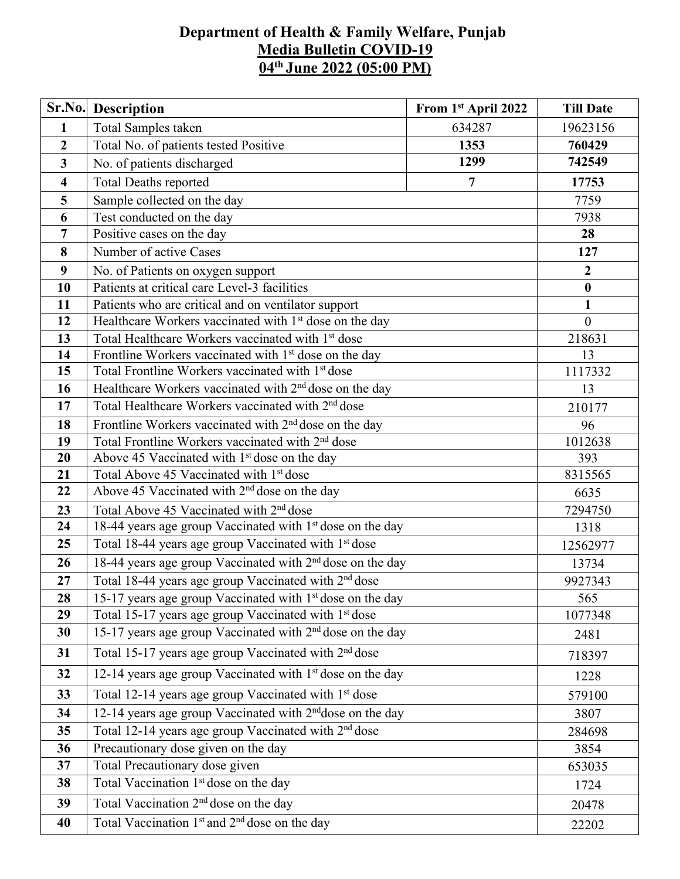## **Department of Health & Family Welfare, Punjab Media Bulletin COVID-19 04 th June 2022 (05:00 PM)**

| Sr.No.                  | <b>Description</b>                                                            | From 1st April 2022 | <b>Till Date</b> |  |  |  |
|-------------------------|-------------------------------------------------------------------------------|---------------------|------------------|--|--|--|
| $\mathbf{1}$            | Total Samples taken                                                           | 634287              | 19623156         |  |  |  |
| $\boldsymbol{2}$        | Total No. of patients tested Positive                                         | 760429              |                  |  |  |  |
| 3                       | No. of patients discharged                                                    | 742549              |                  |  |  |  |
| $\overline{\mathbf{4}}$ | <b>Total Deaths reported</b>                                                  | 17753               |                  |  |  |  |
| 5                       | Sample collected on the day                                                   |                     | 7759             |  |  |  |
| 6                       | Test conducted on the day                                                     |                     | 7938             |  |  |  |
| $\overline{7}$          | Positive cases on the day                                                     |                     | 28               |  |  |  |
| 8                       | Number of active Cases                                                        |                     | 127              |  |  |  |
| 9                       | No. of Patients on oxygen support                                             |                     | $\boldsymbol{2}$ |  |  |  |
| 10                      | Patients at critical care Level-3 facilities                                  |                     | $\bf{0}$         |  |  |  |
| 11                      | Patients who are critical and on ventilator support                           |                     | $\mathbf{1}$     |  |  |  |
| 12                      | Healthcare Workers vaccinated with 1 <sup>st</sup> dose on the day            |                     | $\mathbf{0}$     |  |  |  |
| 13                      | Total Healthcare Workers vaccinated with 1 <sup>st</sup> dose                 |                     | 218631           |  |  |  |
| 14                      | Frontline Workers vaccinated with 1 <sup>st</sup> dose on the day             |                     | 13               |  |  |  |
| 15                      | Total Frontline Workers vaccinated with 1 <sup>st</sup> dose                  |                     | 1117332          |  |  |  |
| 16                      | Healthcare Workers vaccinated with 2 <sup>nd</sup> dose on the day            | 13                  |                  |  |  |  |
| 17                      | Total Healthcare Workers vaccinated with 2 <sup>nd</sup> dose                 | 210177              |                  |  |  |  |
| 18                      | Frontline Workers vaccinated with 2 <sup>nd</sup> dose on the day             | 96                  |                  |  |  |  |
| 19                      | Total Frontline Workers vaccinated with 2 <sup>nd</sup> dose                  | 1012638             |                  |  |  |  |
| 20                      | Above 45 Vaccinated with 1 <sup>st</sup> dose on the day                      |                     | 393              |  |  |  |
| 21                      | Total Above 45 Vaccinated with 1st dose                                       |                     | 8315565          |  |  |  |
| 22                      | Above 45 Vaccinated with 2 <sup>nd</sup> dose on the day                      | 6635                |                  |  |  |  |
| 23                      | Total Above 45 Vaccinated with 2 <sup>nd</sup> dose                           |                     | 7294750          |  |  |  |
| 24                      | 18-44 years age group Vaccinated with 1 <sup>st</sup> dose on the day         |                     | 1318             |  |  |  |
| 25                      | Total 18-44 years age group Vaccinated with 1 <sup>st</sup> dose              |                     | 12562977         |  |  |  |
| 26                      | 18-44 years age group Vaccinated with 2 <sup>nd</sup> dose on the day         | 13734               |                  |  |  |  |
| 27                      | Total 18-44 years age group Vaccinated with 2 <sup>nd</sup> dose              | 9927343             |                  |  |  |  |
| 28                      | 15-17 years age group Vaccinated with $1st$ dose on the day                   | 565                 |                  |  |  |  |
| 29                      | Total 15-17 years age group Vaccinated with 1 <sup>st</sup> dose              | 1077348             |                  |  |  |  |
| 30                      | 15-17 years age group Vaccinated with 2 <sup>nd</sup> dose on the day<br>2481 |                     |                  |  |  |  |
| 31                      | Total 15-17 years age group Vaccinated with 2 <sup>nd</sup> dose<br>718397    |                     |                  |  |  |  |
| 32                      | 12-14 years age group Vaccinated with 1 <sup>st</sup> dose on the day         |                     | 1228             |  |  |  |
| 33                      | Total 12-14 years age group Vaccinated with 1 <sup>st</sup> dose              | 579100              |                  |  |  |  |
| 34                      | 12-14 years age group Vaccinated with 2 <sup>nd</sup> dose on the day         | 3807                |                  |  |  |  |
| 35                      | Total 12-14 years age group Vaccinated with 2 <sup>nd</sup> dose              |                     |                  |  |  |  |
| 36                      | Precautionary dose given on the day                                           | 3854                |                  |  |  |  |
| 37                      | Total Precautionary dose given                                                | 653035              |                  |  |  |  |
| 38                      | Total Vaccination 1 <sup>st</sup> dose on the day                             |                     | 1724             |  |  |  |
| 39                      | Total Vaccination 2 <sup>nd</sup> dose on the day                             |                     | 20478            |  |  |  |
| 40                      | Total Vaccination 1 <sup>st</sup> and 2 <sup>nd</sup> dose on the day         |                     | 22202            |  |  |  |
|                         |                                                                               |                     |                  |  |  |  |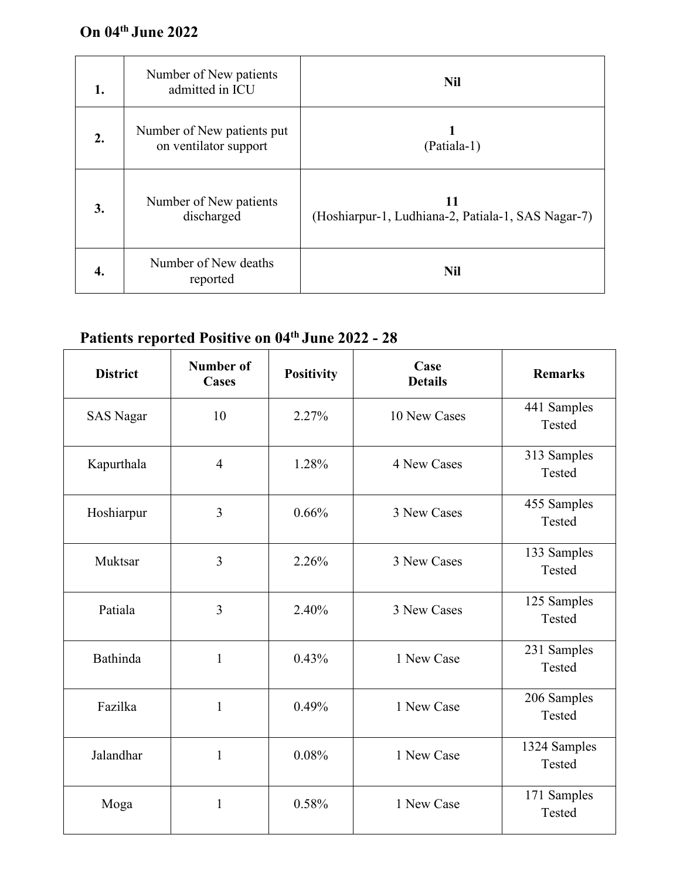## **On 04 th June 2022**

| 1. | Number of New patients<br>admitted in ICU           | <b>Nil</b>                                               |
|----|-----------------------------------------------------|----------------------------------------------------------|
| 2. | Number of New patients put<br>on ventilator support | (Patiala-1)                                              |
| 3. | Number of New patients<br>discharged                | 11<br>(Hoshiarpur-1, Ludhiana-2, Patiala-1, SAS Nagar-7) |
| 4. | Number of New deaths<br>reported                    | <b>Nil</b>                                               |

## **Patients reported Positive on 04 th June 2022 - 28**

| <b>District</b>  | <b>Number of</b><br><b>Cases</b> | <b>Positivity</b> | Case<br><b>Details</b> | <b>Remarks</b>         |  |
|------------------|----------------------------------|-------------------|------------------------|------------------------|--|
| <b>SAS Nagar</b> | 10                               | 2.27%             | 10 New Cases           | 441 Samples<br>Tested  |  |
| Kapurthala       | $\overline{4}$                   | 1.28%             | 4 New Cases            | 313 Samples<br>Tested  |  |
| Hoshiarpur       | $\overline{3}$                   | 0.66%             | 3 New Cases            | 455 Samples<br>Tested  |  |
| Muktsar          | $\overline{3}$                   | 2.26%             | 3 New Cases            | 133 Samples<br>Tested  |  |
| Patiala          | $\overline{3}$                   | 2.40%             | 3 New Cases            | 125 Samples<br>Tested  |  |
| Bathinda         | $\mathbf{1}$                     | 0.43%             | 1 New Case             | 231 Samples<br>Tested  |  |
| Fazilka          | $\mathbf{1}$                     | 0.49%             | 1 New Case             | 206 Samples<br>Tested  |  |
| Jalandhar        | $\mathbf{1}$                     | 0.08%             | 1 New Case             | 1324 Samples<br>Tested |  |
| Moga             | $\mathbf{1}$                     | 0.58%             | 1 New Case             | 171 Samples<br>Tested  |  |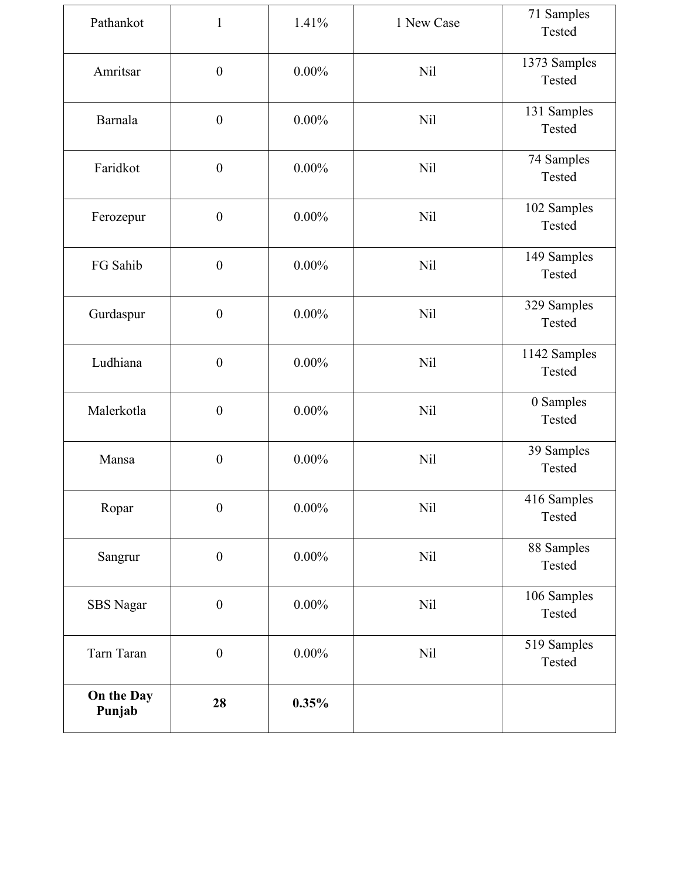| Pathankot            | $\mathbf{1}$     | 1.41%    | 1 New Case | 71 Samples<br>Tested   |
|----------------------|------------------|----------|------------|------------------------|
| Amritsar             | $\boldsymbol{0}$ | $0.00\%$ | <b>Nil</b> | 1373 Samples<br>Tested |
| Barnala              | $\boldsymbol{0}$ | $0.00\%$ | <b>Nil</b> | 131 Samples<br>Tested  |
| Faridkot             | $\boldsymbol{0}$ | $0.00\%$ | <b>Nil</b> | 74 Samples<br>Tested   |
| Ferozepur            | $\boldsymbol{0}$ | $0.00\%$ | <b>Nil</b> | 102 Samples<br>Tested  |
| FG Sahib             | $\boldsymbol{0}$ | $0.00\%$ | <b>Nil</b> | 149 Samples<br>Tested  |
| Gurdaspur            | $\boldsymbol{0}$ | $0.00\%$ | <b>Nil</b> | 329 Samples<br>Tested  |
| Ludhiana             | $\boldsymbol{0}$ | $0.00\%$ | Nil        | 1142 Samples<br>Tested |
| Malerkotla           | $\boldsymbol{0}$ | $0.00\%$ | <b>Nil</b> | 0 Samples<br>Tested    |
| Mansa                | $\boldsymbol{0}$ | $0.00\%$ | <b>Nil</b> | 39 Samples<br>Tested   |
| Ropar                | $\boldsymbol{0}$ | $0.00\%$ | <b>Nil</b> | 416 Samples<br>Tested  |
| Sangrur              | $\boldsymbol{0}$ | $0.00\%$ | <b>Nil</b> | 88 Samples<br>Tested   |
| SBS Nagar            | $\boldsymbol{0}$ | $0.00\%$ | Nil        | 106 Samples<br>Tested  |
| Tarn Taran           | $\boldsymbol{0}$ | $0.00\%$ | <b>Nil</b> | 519 Samples<br>Tested  |
| On the Day<br>Punjab | 28               | 0.35%    |            |                        |
|                      |                  |          |            |                        |